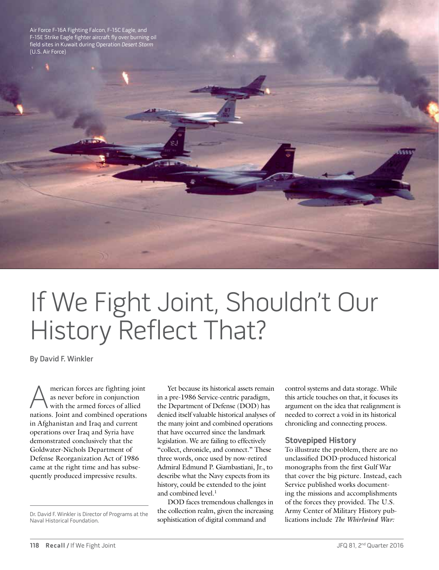Air Force F-16A Fighting Falcon, F-15C Eagle, and F-15E Strike Eagle fighter aircraft fly over burning oil field sites in Kuwait during Operation Desert Storm (U.S. Air Force)

If We Fight Joint, Shouldn't Our History Reflect That?

By David F. Winkler

A merican forces are fighting joint<br>as never before in conjunction<br>with the armed forces of allied<br>nations Ioint and combined operations as never before in conjunction with the armed forces of allied nations. Joint and combined operations in Afghanistan and Iraq and current operations over Iraq and Syria have demonstrated conclusively that the Goldwater-Nichols Department of Defense Reorganization Act of 1986 came at the right time and has subsequently produced impressive results.

Naval Historical Foundation.

Yet because its historical assets remain in a pre-1986 Service-centric paradigm, the Department of Defense (DOD) has denied itself valuable historical analyses of the many joint and combined operations that have occurred since the landmark legislation. We are failing to effectively "collect, chronicle, and connect." These three words, once used by now-retired Admiral Edmund P. Giambastiani, Jr., to describe what the Navy expects from its history, could be extended to the joint and combined level.<sup>1</sup>

DOD faces tremendous challenges in the collection realm, given the increasing sophistication of digital command and Dr. David F. Winkler is Director of Programs at the **the Collection realm, given the increasing** Army Center of Mintary History pub<br>Naval Historical Foundation. *Sophistication of digital command and* lications include

control systems and data storage. While this article touches on that, it focuses its argument on the idea that realignment is needed to correct a void in its historical chronicling and connecting process.

### **Stovepiped History**

To illustrate the problem, there are no unclassified DOD-produced historical monographs from the first Gulf War that cover the big picture. Instead, each Service published works documenting the missions and accomplishments of the forces they provided. The U.S. Army Center of Military History pub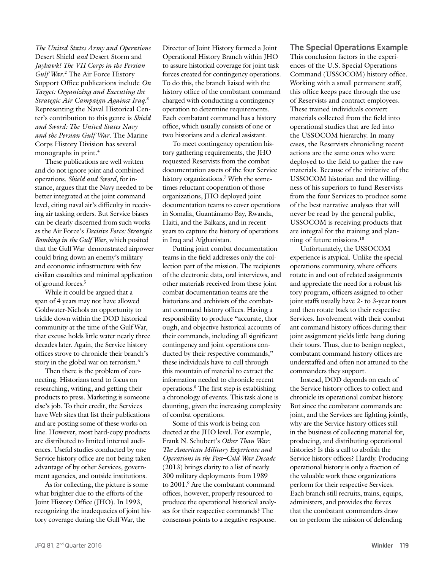*The United States Army and Operations*  Desert Shield *and* Desert Storm and *Jayhawk! The VII Corps in the Persian*  Gulf War.<sup>2</sup> The Air Force History Support Office publications include *On Target: Organizing and Executing the Strategic Air Campaign Against Iraq.*<sup>3</sup> Representing the Naval Historical Center's contribution to this genre is *Shield and Sword: The United States Navy and the Persian Gulf War*. The Marine Corps History Division has several monographs in print.<sup>4</sup>

These publications are well written and do not ignore joint and combined operations. *Shield and Sword*, for instance, argues that the Navy needed to be better integrated at the joint command level, citing naval air's difficulty in receiving air tasking orders. But Service biases can be clearly discerned from such works as the Air Force's *Decisive Force: Strategic Bombing in the Gulf War*, which posited that the Gulf War–demonstrated airpower could bring down an enemy's military and economic infrastructure with few civilian casualties and minimal application of ground forces.5

While it could be argued that a span of 4 years may not have allowed Goldwater-Nichols an opportunity to trickle down within the DOD historical community at the time of the Gulf War, that excuse holds little water nearly three decades later. Again, the Service history offices strove to chronicle their branch's story in the global war on terrorism.<sup>6</sup>

Then there is the problem of connecting. Historians tend to focus on researching, writing, and getting their products to press. Marketing is someone else's job. To their credit, the Services have Web sites that list their publications and are posting some of these works online. However, most hard-copy products are distributed to limited internal audiences. Useful studies conducted by one Service history office are not being taken advantage of by other Services, government agencies, and outside institutions.

As for collecting, the picture is somewhat brighter due to the efforts of the Joint History Office (JHO). In 1993, recognizing the inadequacies of joint history coverage during the Gulf War, the

Director of Joint History formed a Joint Operational History Branch within JHO to assure historical coverage for joint task forces created for contingency operations. To do this, the branch liaised with the history office of the combatant command charged with conducting a contingency operation to determine requirements. Each combatant command has a history office, which usually consists of one or two historians and a clerical assistant.

To meet contingency operation history gathering requirements, the JHO requested Reservists from the combat documentation assets of the four Service history organizations.7 With the sometimes reluctant cooperation of those organizations, JHO deployed joint documentation teams to cover operations in Somalia, Guantánamo Bay, Rwanda, Haiti, and the Balkans, and in recent years to capture the history of operations in Iraq and Afghanistan.

Putting joint combat documentation teams in the field addresses only the collection part of the mission. The recipients of the electronic data, oral interviews, and other materials received from these joint combat documentation teams are the historians and archivists of the combatant command history offices. Having a responsibility to produce "accurate, thorough, and objective historical accounts of their commands, including all significant contingency and joint operations conducted by their respective commands," these individuals have to cull through this mountain of material to extract the information needed to chronicle recent operations.8 The first step is establishing a chronology of events. This task alone is daunting, given the increasing complexity of combat operations.

Some of this work is being conducted at the JHO level. For example, Frank N. Schubert's *Other Than War: The American Military Experience and Operations in the Post–Cold War Decade*  (2013) brings clarity to a list of nearly 300 military deployments from 1989 to 2001.<sup>9</sup> Are the combatant command offices, however, properly resourced to produce the operational historical analyses for their respective commands? The consensus points to a negative response.

# **The Special Operations Example**

This conclusion factors in the experiences of the U.S. Special Operations Command (USSOCOM) history office. Working with a small permanent staff, this office keeps pace through the use of Reservists and contract employees. These trained individuals convert materials collected from the field into operational studies that are fed into the USSOCOM hierarchy. In many cases, the Reservists chronicling recent actions are the same ones who were deployed to the field to gather the raw materials. Because of the initiative of the USSOCOM historian and the willingness of his superiors to fund Reservists from the four Services to produce some of the best narrative analyses that will never be read by the general public, USSOCOM is receiving products that are integral for the training and planning of future missions.10

Unfortunately, the USSOCOM experience is atypical. Unlike the special operations community, where officers rotate in and out of related assignments and appreciate the need for a robust history program, officers assigned to other joint staffs usually have 2- to 3-year tours and then rotate back to their respective Services. Involvement with their combatant command history offices during their joint assignment yields little bang during their tours. Thus, due to benign neglect, combatant command history offices are understaffed and often not attuned to the commanders they support.

Instead, DOD depends on each of the Service history offices to collect and chronicle its operational combat history. But since the combatant commands are joint, and the Services are fighting jointly, why are the Service history offices still in the business of collecting material for, producing, and distributing operational histories? Is this a call to abolish the Service history offices? Hardly. Producing operational history is only a fraction of the valuable work these organizations perform for their respective Services. Each branch still recruits, trains, equips, administers, and provides the forces that the combatant commanders draw on to perform the mission of defending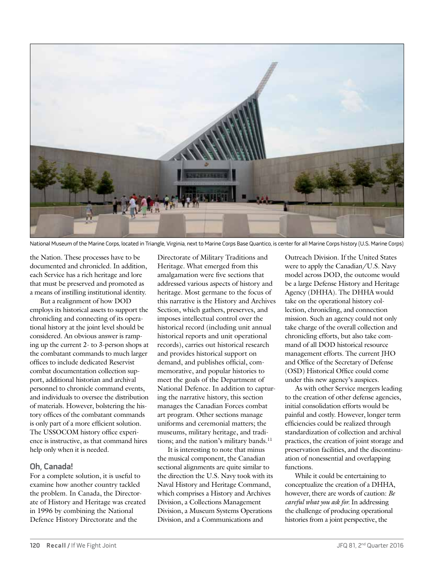

National Museum of the Marine Corps, located in Triangle, Virginia, next to Marine Corps Base Quantico, is center for all Marine Corps history (U.S. Marine Corps)

the Nation. These processes have to be documented and chronicled. In addition, each Service has a rich heritage and lore that must be preserved and promoted as a means of instilling institutional identity.

But a realignment of how DOD employs its historical assets to support the chronicling and connecting of its operational history at the joint level should be considered. An obvious answer is ramping up the current 2- to 3-person shops at the combatant commands to much larger offices to include dedicated Reservist combat documentation collection support, additional historian and archival personnel to chronicle command events, and individuals to oversee the distribution of materials. However, bolstering the history offices of the combatant commands is only part of a more efficient solution. The USSOCOM history office experience is instructive, as that command hires help only when it is needed.

# **Oh, Canada!**

For a complete solution, it is useful to examine how another country tackled the problem. In Canada, the Directorate of History and Heritage was created in 1996 by combining the National Defence History Directorate and the

Directorate of Military Traditions and Heritage. What emerged from this amalgamation were five sections that addressed various aspects of history and heritage. Most germane to the focus of this narrative is the History and Archives Section, which gathers, preserves, and imposes intellectual control over the historical record (including unit annual historical reports and unit operational records), carries out historical research and provides historical support on demand, and publishes official, commemorative, and popular histories to meet the goals of the Department of National Defence. In addition to capturing the narrative history, this section manages the Canadian Forces combat art program. Other sections manage uniforms and ceremonial matters; the museums, military heritage, and traditions; and the nation's military bands.<sup>11</sup>

It is interesting to note that minus the musical component, the Canadian sectional alignments are quite similar to the direction the U.S. Navy took with its Naval History and Heritage Command, which comprises a History and Archives Division, a Collections Management Division, a Museum Systems Operations Division, and a Communications and

Outreach Division. If the United States were to apply the Canadian/U.S. Navy model across DOD, the outcome would be a large Defense History and Heritage Agency (DHHA). The DHHA would take on the operational history collection, chronicling, and connection mission. Such an agency could not only take charge of the overall collection and chronicling efforts, but also take command of all DOD historical resource management efforts. The current JHO and Office of the Secretary of Defense (OSD) Historical Office could come under this new agency's auspices.

As with other Service mergers leading to the creation of other defense agencies, initial consolidation efforts would be painful and costly. However, longer term efficiencies could be realized through standardization of collection and archival practices, the creation of joint storage and preservation facilities, and the discontinuation of nonessential and overlapping functions.

While it could be entertaining to conceptualize the creation of a DHHA, however, there are words of caution: *Be careful what you ask for.* In addressing the challenge of producing operational histories from a joint perspective, the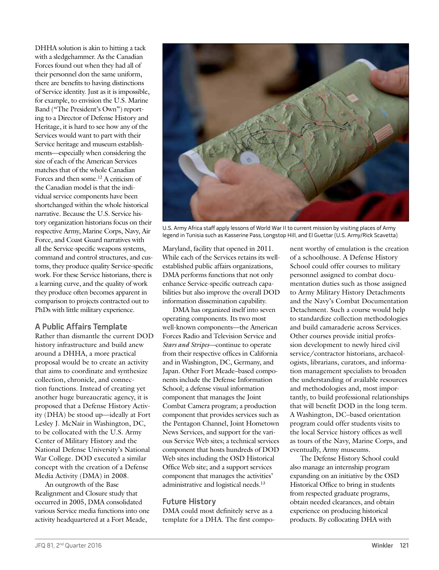DHHA solution is akin to hitting a tack with a sledgehammer. As the Canadian Forces found out when they had all of their personnel don the same uniform, there are benefits to having distinctions of Service identity. Just as it is impossible, for example, to envision the U.S. Marine Band ("The President's Own") reporting to a Director of Defense History and Heritage, it is hard to see how any of the Services would want to part with their Service heritage and museum establishments—especially when considering the size of each of the American Services matches that of the whole Canadian Forces and then some.<sup>12</sup> A criticism of the Canadian model is that the individual service components have been shortchanged within the whole historical narrative. Because the U.S. Service history organization historians focus on their respective Army, Marine Corps, Navy, Air Force, and Coast Guard narratives with all the Service-specific weapons systems, command and control structures, and customs, they produce quality Service-specific work. For these Service historians, there is a learning curve, and the quality of work they produce often becomes apparent in comparison to projects contracted out to PhDs with little military experience.

# **A Public Affairs Template**

Rather than dismantle the current DOD history infrastructure and build anew around a DHHA, a more practical proposal would be to create an activity that aims to coordinate and synthesize collection, chronicle, and connection functions. Instead of creating yet another huge bureaucratic agency, it is proposed that a Defense History Activity (DHA) be stood up—ideally at Fort Lesley J. McNair in Washington, DC, to be collocated with the U.S. Army Center of Military History and the National Defense University's National War College. DOD executed a similar concept with the creation of a Defense Media Activity (DMA) in 2008.

An outgrowth of the Base Realignment and Closure study that occurred in 2005, DMA consolidated various Service media functions into one activity headquartered at a Fort Meade,



U.S. Army Africa staff apply lessons of World War II to current mission by visiting places of Army legend in Tunisia such as Kasserine Pass, Longstop Hill, and El Guettar (U.S. Army/Rick Scavetta)

Maryland, facility that opened in 2011. While each of the Services retains its wellestablished public affairs organizations, DMA performs functions that not only enhance Service-specific outreach capabilities but also improve the overall DOD information dissemination capability.

DMA has organized itself into seven operating components. Its two most well-known components—the American Forces Radio and Television Service and *Stars and Stripes*—continue to operate from their respective offices in California and in Washington, DC, Germany, and Japan. Other Fort Meade–based components include the Defense Information School; a defense visual information component that manages the Joint Combat Camera program; a production component that provides services such as the Pentagon Channel, Joint Hometown News Services, and support for the various Service Web sites; a technical services component that hosts hundreds of DOD Web sites including the OSD Historical Office Web site; and a support services component that manages the activities' administrative and logistical needs.<sup>13</sup>

### **Future History**

DMA could most definitely serve as a template for a DHA. The first component worthy of emulation is the creation of a schoolhouse. A Defense History School could offer courses to military personnel assigned to combat documentation duties such as those assigned to Army Military History Detachments and the Navy's Combat Documentation Detachment. Such a course would help to standardize collection methodologies and build camaraderie across Services. Other courses provide initial profession development to newly hired civil service/contractor historians, archaeologists, librarians, curators, and information management specialists to broaden the understanding of available resources and methodologies and, most importantly, to build professional relationships that will benefit DOD in the long term. A Washington, DC–based orientation program could offer students visits to the local Service history offices as well as tours of the Navy, Marine Corps, and eventually, Army museums.

The Defense History School could also manage an internship program expanding on an initiative by the OSD Historical Office to bring in students from respected graduate programs, obtain needed clearances, and obtain experience on producing historical products. By collocating DHA with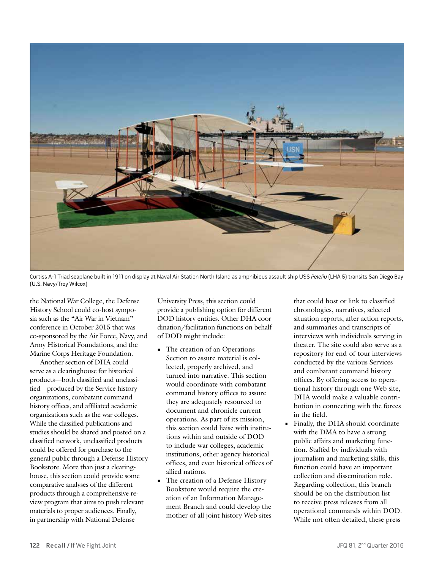

Curtiss A-1 Triad seaplane built in 1911 on display at Naval Air Station North Island as amphibious assault ship USS Peleliu (LHA 5) transits San Diego Bay (U.S. Navy/Troy Wilcox)

the National War College, the Defense History School could co-host symposia such as the "Air War in Vietnam" conference in October 2015 that was co-sponsored by the Air Force, Navy, and Army Historical Foundations, and the Marine Corps Heritage Foundation.

Another section of DHA could serve as a clearinghouse for historical products—both classified and unclassified—produced by the Service history organizations, combatant command history offices, and affiliated academic organizations such as the war colleges. While the classified publications and studies should be shared and posted on a classified network, unclassified products could be offered for purchase to the general public through a Defense History Bookstore. More than just a clearinghouse, this section could provide some comparative analyses of the different products through a comprehensive review program that aims to push relevant materials to proper audiences. Finally, in partnership with National Defense

University Press, this section could provide a publishing option for different DOD history entities. Other DHA coordination/facilitation functions on behalf of DOD might include:

- **•** The creation of an Operations Section to assure material is collected, properly archived, and turned into narrative. This section would coordinate with combatant command history offices to assure they are adequately resourced to document and chronicle current operations. As part of its mission, this section could liaise with institutions within and outside of DOD to include war colleges, academic institutions, other agency historical offices, and even historical offices of allied nations.
- **•** The creation of a Defense History Bookstore would require the creation of an Information Management Branch and could develop the mother of all joint history Web sites

that could host or link to classified chronologies, narratives, selected situation reports, after action reports, and summaries and transcripts of interviews with individuals serving in theater. The site could also serve as a repository for end-of-tour interviews conducted by the various Services and combatant command history offices. By offering access to operational history through one Web site, DHA would make a valuable contribution in connecting with the forces in the field.

**•** Finally, the DHA should coordinate with the DMA to have a strong public affairs and marketing function. Staffed by individuals with journalism and marketing skills, this function could have an important collection and dissemination role. Regarding collection, this branch should be on the distribution list to receive press releases from all operational commands within DOD. While not often detailed, these press